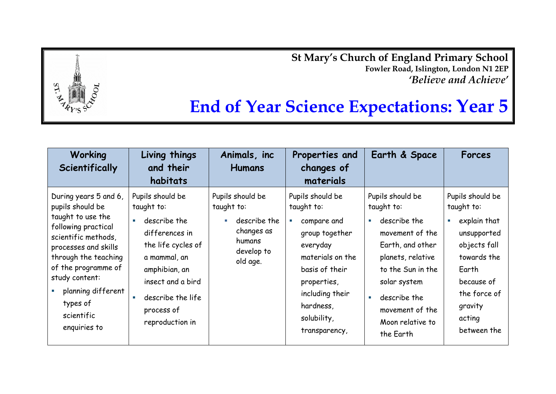**St Mary's Church of England Primary School Fowler Road, Islington, London N1 2EP** *'Believe and Achieve'*



| <b>Working</b><br>Scientifically                                                                                                                                                                                                                                      | Living things<br>and their<br>habitats                                                                                                                                                             | Animals, inc<br><b>Humans</b>                                                                                    | Properties and<br>changes of<br>materials                                                                                                                                                                         | Earth & Space                                                                                                                                                                                                                                                                     | Forces                                                                                                                                                                        |
|-----------------------------------------------------------------------------------------------------------------------------------------------------------------------------------------------------------------------------------------------------------------------|----------------------------------------------------------------------------------------------------------------------------------------------------------------------------------------------------|------------------------------------------------------------------------------------------------------------------|-------------------------------------------------------------------------------------------------------------------------------------------------------------------------------------------------------------------|-----------------------------------------------------------------------------------------------------------------------------------------------------------------------------------------------------------------------------------------------------------------------------------|-------------------------------------------------------------------------------------------------------------------------------------------------------------------------------|
| During years 5 and 6,<br>pupils should be<br>taught to use the<br>following practical<br>scientific methods,<br>processes and skills<br>through the teaching<br>of the programme of<br>study content:<br>planning different<br>types of<br>scientific<br>enquiries to | Pupils should be<br>taught to:<br>describe the<br>differences in<br>the life cycles of<br>a mammal, an<br>amphibian, an<br>insect and a bird<br>describe the life<br>process of<br>reproduction in | Pupils should be<br>taught to:<br>describe the<br>$\mathbf{m}$<br>changes as<br>humans<br>develop to<br>old age. | Pupils should be<br>taught to:<br>compare and<br>$\mathcal{C}$<br>group together<br>everyday<br>materials on the<br>basis of their<br>properties,<br>including their<br>hardness,<br>solubility,<br>transparency, | Pupils should be<br>taught to:<br>describe the<br>$\mathcal{L}_{\mathcal{A}}$<br>movement of the<br>Earth, and other<br>planets, relative<br>to the Sun in the<br>solar system<br>describe the<br>$\mathcal{L}_{\mathcal{A}}$<br>movement of the<br>Moon relative to<br>the Earth | Pupils should be<br>taught to:<br>explain that<br>×,<br>unsupported<br>objects fall<br>towards the<br>Earth<br>because of<br>the force of<br>gravity<br>acting<br>between the |

 $ST$ .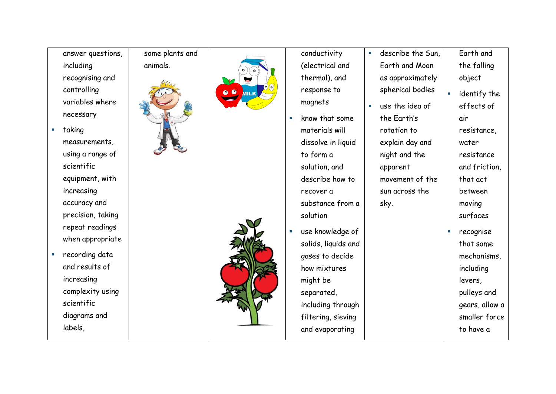| answer questions,              | some plants and |                          |    | conductivity        | describe the Sun, |    | Earth and      |
|--------------------------------|-----------------|--------------------------|----|---------------------|-------------------|----|----------------|
| including                      | animals.        |                          |    | (electrical and     | Earth and Moon    |    | the falling    |
| recognising and                |                 |                          |    | thermal), and       | as approximately  |    | object         |
| controlling                    |                 | $\bullet$<br><b>MILK</b> |    | response to         | spherical bodies  | ×  | identify the   |
| variables where                |                 |                          |    | magnets             | use the idea of   |    | effects of     |
| necessary                      |                 |                          | ×. | know that some      | the Earth's       |    | air            |
| taking                         |                 |                          |    | materials will      | rotation to       |    | resistance,    |
| measurements,                  |                 |                          |    | dissolve in liquid  | explain day and   |    | water          |
| using a range of               |                 |                          |    | to form a           | night and the     |    | resistance     |
| scientific                     |                 |                          |    | solution, and       | apparent          |    | and friction,  |
| equipment, with                |                 |                          |    | describe how to     | movement of the   |    | that act       |
| increasing                     |                 |                          |    | recover a           | sun across the    |    | between        |
| accuracy and                   |                 |                          |    | substance from a    | sky.              |    | moving         |
| precision, taking              |                 |                          |    | solution            |                   |    | surfaces       |
| repeat readings                |                 |                          | ×. |                     |                   | T. |                |
| when appropriate               |                 |                          |    | use knowledge of    |                   |    | recognise      |
| recording data                 |                 |                          |    | solids, liquids and |                   |    | that some      |
| and results of                 |                 |                          |    | gases to decide     |                   |    | mechanisms,    |
| increasing                     |                 |                          |    | how mixtures        |                   |    | including      |
|                                |                 |                          |    | might be            |                   |    | levers,        |
| complexity using<br>scientific |                 |                          |    | separated,          |                   |    | pulleys and    |
|                                |                 |                          |    | including through   |                   |    | gears, allow a |
| diagrams and                   |                 |                          |    | filtering, sieving  |                   |    | smaller force  |
| labels,                        |                 |                          |    | and evaporating     |                   |    | to have a      |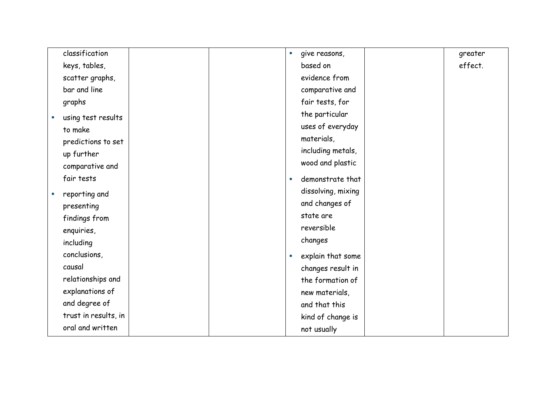| classification       |  | give reasons,<br>$\mathcal{L}_{\mathcal{A}}$ | greater |
|----------------------|--|----------------------------------------------|---------|
| keys, tables,        |  | based on                                     | effect. |
| scatter graphs,      |  | evidence from                                |         |
| bar and line         |  | comparative and                              |         |
| graphs               |  | fair tests, for                              |         |
| using test results   |  | the particular                               |         |
| to make              |  | uses of everyday                             |         |
| predictions to set   |  | materials,                                   |         |
| up further           |  | including metals,                            |         |
| comparative and      |  | wood and plastic                             |         |
| fair tests           |  | demonstrate that<br>$\mathcal{C}$            |         |
|                      |  | dissolving, mixing                           |         |
| reporting and        |  | and changes of                               |         |
| presenting           |  |                                              |         |
| findings from        |  | state are                                    |         |
| enquiries,           |  | reversible                                   |         |
| including            |  | changes                                      |         |
| conclusions,         |  | explain that some<br>$\mathcal{C}$           |         |
| causal               |  | changes result in                            |         |
| relationships and    |  | the formation of                             |         |
| explanations of      |  | new materials,                               |         |
| and degree of        |  | and that this                                |         |
| trust in results, in |  | kind of change is                            |         |
| oral and written     |  | not usually                                  |         |
|                      |  |                                              |         |